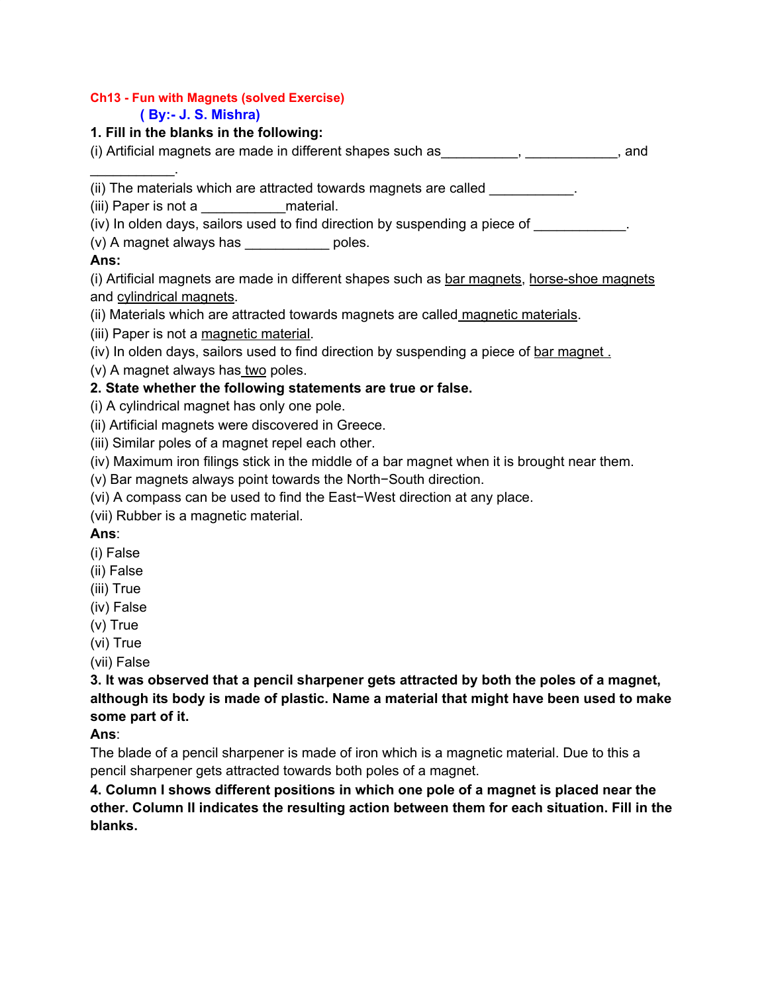#### **Ch13 - Fun with Magnets (solved Exercise) ( By:- J. S. Mishra)**

## **1. Fill in the blanks in the following:**

(i) Artificial magnets are made in different shapes such as\_\_\_\_\_\_\_\_\_\_, \_\_\_\_\_\_\_\_\_\_\_\_, and

(ii) The materials which are attracted towards magnets are called

(iii) Paper is not a \_\_\_\_\_\_\_\_\_\_\_material.

 $(iv)$  In olden days, sailors used to find direction by suspending a piece of  $\qquad \qquad$ .

(v) A magnet always has \_\_\_\_\_\_\_\_\_\_\_ poles.

## **Ans:**

 $\mathcal{L}_\text{max}$  and  $\mathcal{L}_\text{max}$ 

(i) Artificial magnets are made in different shapes such as bar magnets, horse-shoe magnets and cylindrical magnets.

(ii) Materials which are attracted towards magnets are called magnetic materials.

(iii) Paper is not a magnetic material.

(iv) In olden days, sailors used to find direction by suspending a piece of bar magnet.

(v) A magnet always has two poles.

# **2. State whether the following statements are true or false.**

(i) A cylindrical magnet has only one pole.

(ii) Artificial magnets were discovered in Greece.

(iii) Similar poles of a magnet repel each other.

(iv) Maximum iron filings stick in the middle of a bar magnet when it is brought near them.

(v) Bar magnets always point towards the North−South direction.

(vi) A compass can be used to find the East−West direction at any place.

(vii) Rubber is a magnetic material.

**Ans**:

(i) False

(ii) False

(iii) True

(iv) False

(v) True

(vi) True

(vii) False

**3. It was observed that a pencil sharpener gets attracted by both the poles of a magnet, although its body is made of plastic. Name a material that might have been used to make some part of it.**

**Ans**:

The blade of a pencil sharpener is made of iron which is a magnetic material. Due to this a pencil sharpener gets attracted towards both poles of a magnet.

**4. Column I shows different positions in which one pole of a magnet is placed near the other. Column II indicates the resulting action between them for each situation. Fill in the blanks.**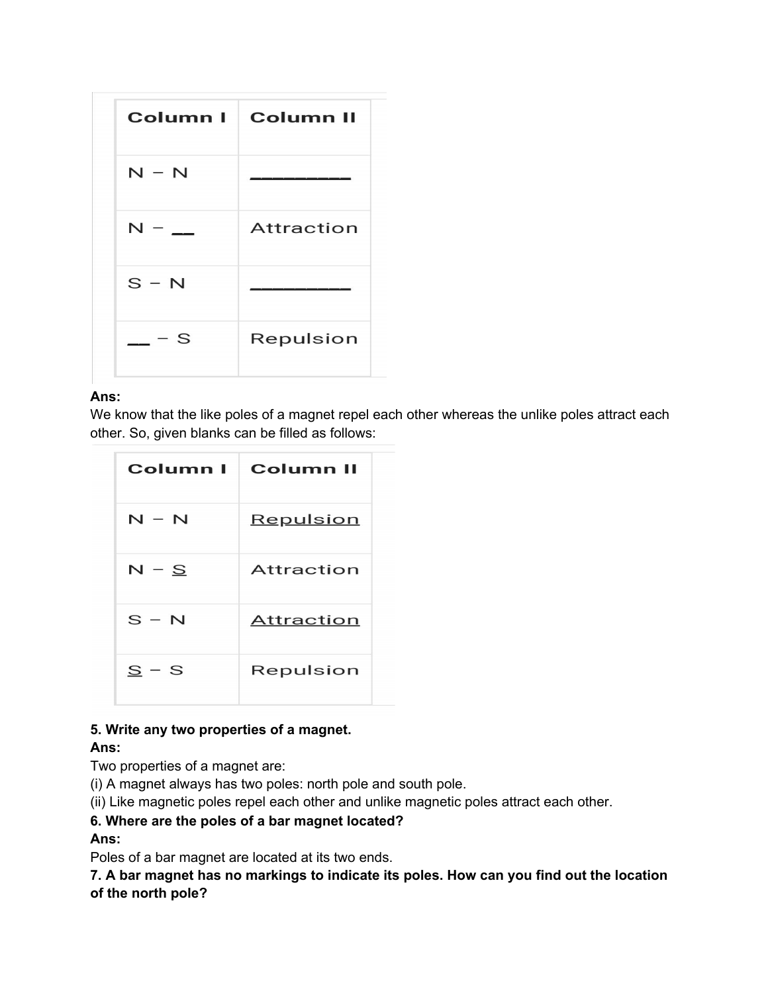|         | Column I Column II |
|---------|--------------------|
| $N - N$ |                    |
| $N -$   | <b>Attraction</b>  |
| $S - N$ |                    |
| $-$ - S | Repulsion          |

### **Ans:**

We know that the like poles of a magnet repel each other whereas the unlike poles attract each other. So, given blanks can be filled as follows:

| Column I | <b>Column II</b> |
|----------|------------------|
| N – N    | Repulsion        |
| $N-S$    | Attraction       |
| $S - N$  | Attraction       |
| $S - S$  | Repulsion        |

## **5. Write any two properties of a magnet.**

# **Ans:**

Two properties of a magnet are:

(i) A magnet always has two poles: north pole and south pole.

(ii) Like magnetic poles repel each other and unlike magnetic poles attract each other.

# **6. Where are the poles of a bar magnet located?**

## **Ans:**

Poles of a bar magnet are located at its two ends.

**7. A bar magnet has no markings to indicate its poles. How can you find out the location of the north pole?**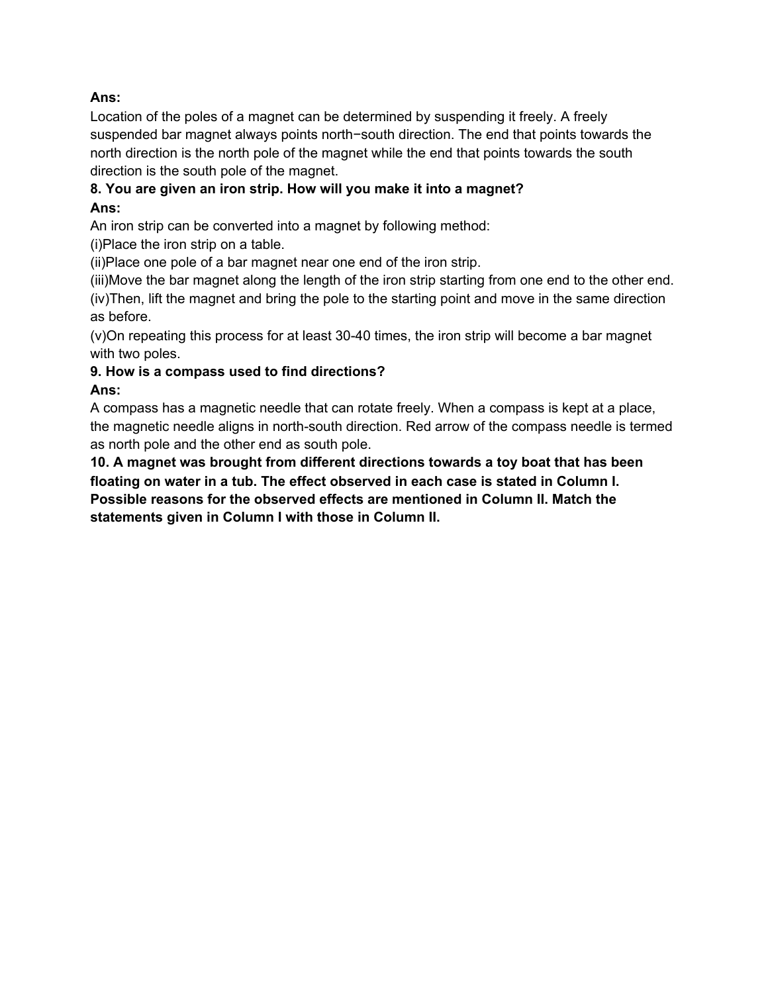## **Ans:**

Location of the poles of a magnet can be determined by suspending it freely. A freely suspended bar magnet always points north−south direction. The end that points towards the north direction is the north pole of the magnet while the end that points towards the south direction is the south pole of the magnet.

# **8. You are given an iron strip. How will you make it into a magnet? Ans:**

An iron strip can be converted into a magnet by following method:

(i)Place the iron strip on a table.

(ii)Place one pole of a bar magnet near one end of the iron strip.

(iii)Move the bar magnet along the length of the iron strip starting from one end to the other end. (iv)Then, lift the magnet and bring the pole to the starting point and move in the same direction as before.

(v)On repeating this process for at least 30-40 times, the iron strip will become a bar magnet with two poles.

# **9. How is a compass used to find directions?**

# **Ans:**

A compass has a magnetic needle that can rotate freely. When a compass is kept at a place, the magnetic needle aligns in north-south direction. Red arrow of the compass needle is termed as north pole and the other end as south pole.

**10. A magnet was brought from different directions towards a toy boat that has been floating on water in a tub. The effect observed in each case is stated in Column I. Possible reasons for the observed effects are mentioned in Column II. Match the statements given in Column I with those in Column II.**